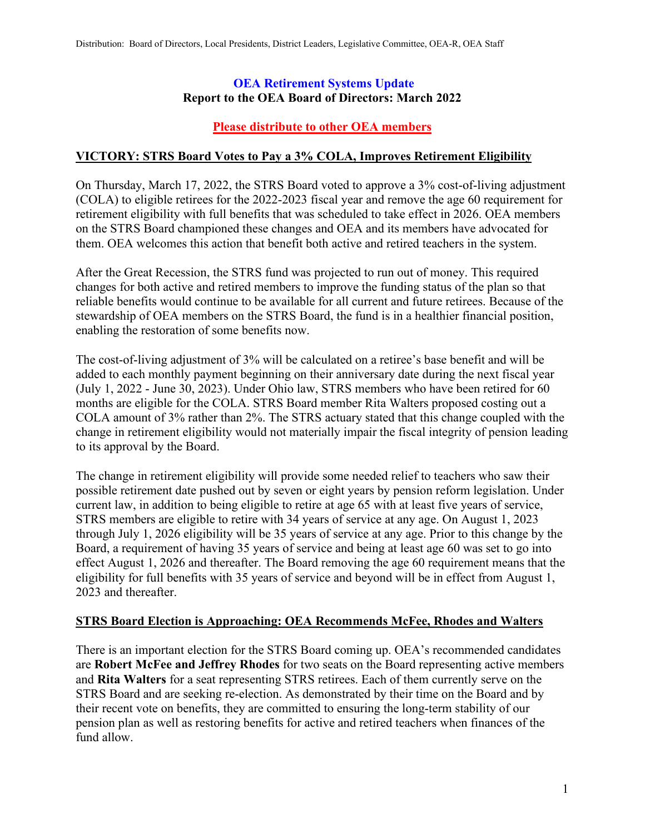#### **OEA Retirement Systems Update Report to the OEA Board of Directors: March 2022**

## **Please distribute to other OEA members**

## **VICTORY: STRS Board Votes to Pay a 3% COLA, Improves Retirement Eligibility**

On Thursday, March 17, 2022, the STRS Board voted to approve a 3% cost-of-living adjustment (COLA) to eligible retirees for the 2022-2023 fiscal year and remove the age 60 requirement for retirement eligibility with full benefits that was scheduled to take effect in 2026. OEA members on the STRS Board championed these changes and OEA and its members have advocated for them. OEA welcomes this action that benefit both active and retired teachers in the system.

After the Great Recession, the STRS fund was projected to run out of money. This required changes for both active and retired members to improve the funding status of the plan so that reliable benefits would continue to be available for all current and future retirees. Because of the stewardship of OEA members on the STRS Board, the fund is in a healthier financial position, enabling the restoration of some benefits now.

The cost-of-living adjustment of 3% will be calculated on a retiree's base benefit and will be added to each monthly payment beginning on their anniversary date during the next fiscal year (July 1, 2022 - June 30, 2023). Under Ohio law, STRS members who have been retired for 60 months are eligible for the COLA. STRS Board member Rita Walters proposed costing out a COLA amount of 3% rather than 2%. The STRS actuary stated that this change coupled with the change in retirement eligibility would not materially impair the fiscal integrity of pension leading to its approval by the Board.

The change in retirement eligibility will provide some needed relief to teachers who saw their possible retirement date pushed out by seven or eight years by pension reform legislation. Under current law, in addition to being eligible to retire at age 65 with at least five years of service, STRS members are eligible to retire with 34 years of service at any age. On August 1, 2023 through July 1, 2026 eligibility will be 35 years of service at any age. Prior to this change by the Board, a requirement of having 35 years of service and being at least age 60 was set to go into effect August 1, 2026 and thereafter. The Board removing the age 60 requirement means that the eligibility for full benefits with 35 years of service and beyond will be in effect from August 1, 2023 and thereafter.

#### **STRS Board Election is Approaching: OEA Recommends McFee, Rhodes and Walters**

There is an important election for the STRS Board coming up. OEA's recommended candidates are **Robert McFee and Jeffrey Rhodes** for two seats on the Board representing active members and **Rita Walters** for a seat representing STRS retirees. Each of them currently serve on the STRS Board and are seeking re-election. As demonstrated by their time on the Board and by their recent vote on benefits, they are committed to ensuring the long-term stability of our pension plan as well as restoring benefits for active and retired teachers when finances of the fund allow.